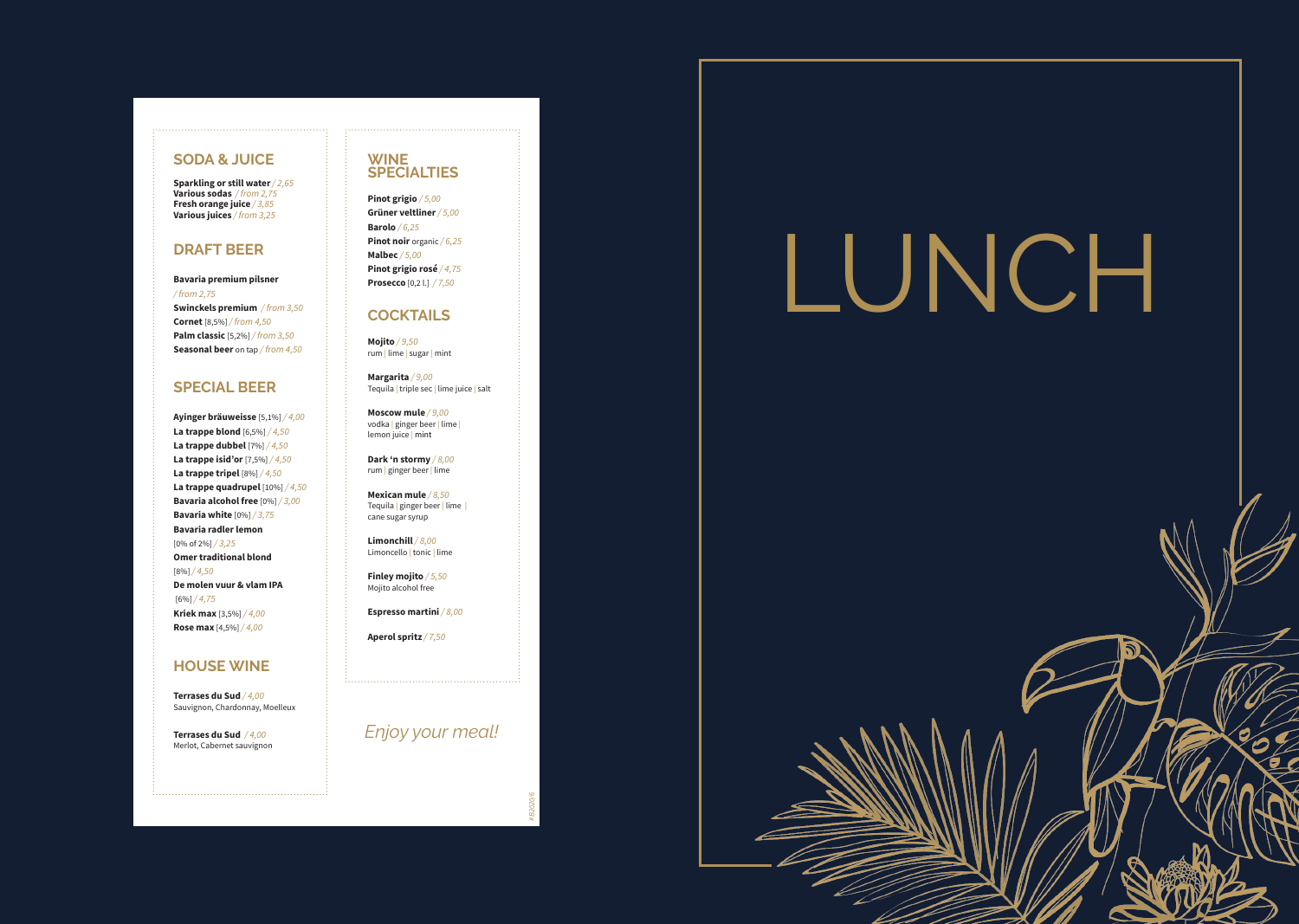

## **SODA & JUICE**

**Sparkling or still water***/ 2,65* **Various sodas** */ from 2,75* **Fresh orange juice** */ 3,85* **Various juices** */ from 3,25*

## **DRAFT BEER**

#### **Bavaria premium pilsner**

*/ from 2,75* **Swinckels premium** */ from 3,50* **Cornet** [8,5%] */ from 4,50* **Palm classic** [5,2%] */ from 3,50* **Seasonal beer** on tap */ from 4,50*

## **SPECIAL BEER**

**Ayinger bräuweisse** [5,1%] */ 4,00* **La trappe blond** [6,5%] */ 4,50* **La trappe dubbel** [7%] */ 4,50* **La trappe isid'or** [7,5%] */ 4,50* **La trappe tripel** [8%] */ 4,50* **La trappe quadrupel** [10%] */ 4,50* **Bavaria alcohol free** [0%] */ 3,00* **Bavaria white** [0%] */ 3,75* **Bavaria radler lemon**  [0% of 2%] */ 3,25* **Omer traditional blond**  [8%] */ 4,50* **De molen vuur & vlam IPA** [6%] */ 4,75* **Kriek max** [3,5%] */ 4,00* **Rose max** [4,5%] */ 4,00*

**Limonchill** */ 8,00* Limoncello | tonic | lime

## **HOUSE WINE**

**Terrases du Sud** */ 4,00* Sauvignon, Chardonnay, Moelleux

**Terrases du Sud** */ 4,00* Merlot, Cabernet sauvignon

## **WINE SPECIALTIES**

**Pinot grigio** */ 5,00* **Grüner veltliner***/ 5,00* **Barolo** */ 6,25* **Pinot noir** organic */ 6,25* **Malbec** */ 5,00* **Pinot grigio rosé** */ 4,75* **Prosecco** [0,2 l.] */ 7,50*

## **COCKTAILS**

**Mojito** */ 9,50* rum | lime | sugar | mint

**Margarita** */ 9,00* Tequila | triple sec | lime juice | salt

**Moscow mule** */ 9,00* vodka | ginger beer | lime | lemon juice | mint

**Dark 'n stormy** */ 8,00* rum | ginger beer | lime

**Mexican mule** */ 8,50* Tequila | ginger beer | lime | cane sugar syrup

**Finley mojito** */ 5,50*

Mojito alcohol free

**Espresso martini** */ 8,00*

**Aperol spritz** */ 7,50*

## *Enjoy your meal!*

*#B2020/6*